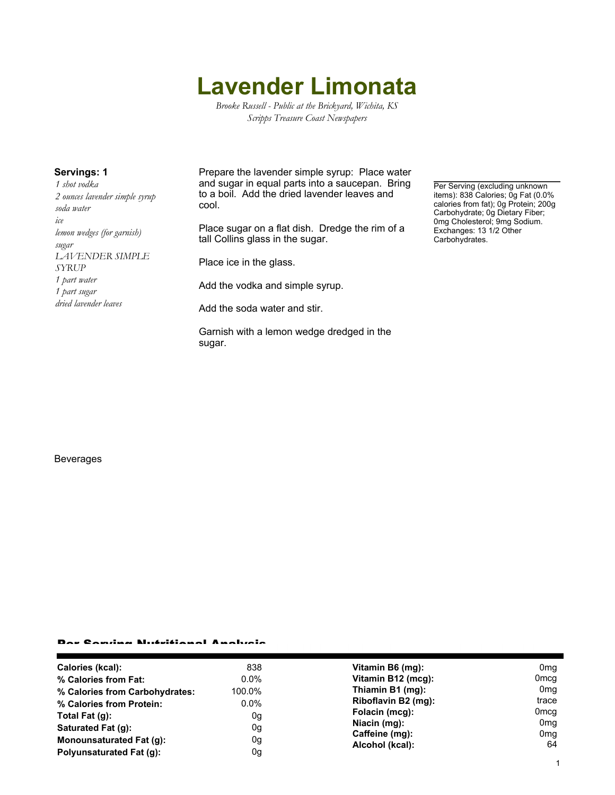# **Lavender Limonata**

*Brooke Russell - Public at the Brickyard, Wichita, KS Scripps Treasure Coast Newspapers*

*1 shot vodka 2 ounces lavender simple syrup soda water ice lemon wedges (for garnish) sugar LAVENDER SIMPLE SYRUP 1 part water 1 part sugar dried lavender leaves*

**Servings: 1** Prepare the lavender simple syrup: Place water and sugar in equal parts into a saucepan. Bring to a boil. Add the dried lavender leaves and cool.

> Place sugar on a flat dish. Dredge the rim of a tall Collins glass in the sugar.

Place ice in the glass.

Add the vodka and simple syrup.

Add the soda water and stir.

Garnish with a lemon wedge dredged in the sugar.

Per Serving (excluding unknown items): 838 Calories; 0g Fat (0.0% calories from fat); 0g Protein; 200g Carbohydrate; 0g Dietary Fiber; 0mg Cholesterol; 9mg Sodium. Exchanges: 13 1/2 Other Carbohydrates.

#### Beverages

## Per Serving Nutritional Analysis

| Calories (kcal):               | 838     | Vitamin B6 (mg):                                                    | 0 <sub>mg</sub>  |
|--------------------------------|---------|---------------------------------------------------------------------|------------------|
| % Calories from Fat:           | $0.0\%$ | Vitamin B12 (mcg):                                                  | 0 <sub>mcg</sub> |
| % Calories from Carbohydrates: | 100.0%  | Thiamin B1 (mg):                                                    | 0mg              |
| % Calories from Protein:       | $0.0\%$ | Riboflavin B2 (mg):                                                 | trace            |
| Total Fat $(q)$ :              | 0g      | Folacin (mcg):<br>Niacin (mg):<br>Caffeine (mg):<br>Alcohol (kcal): | 0 <sub>mcg</sub> |
| Saturated Fat (g):             | 0g      |                                                                     | 0 <sub>mg</sub>  |
| Monounsaturated Fat (q):       | 0g      |                                                                     | 0 <sub>mg</sub>  |
|                                |         |                                                                     | 64               |
| Polyunsaturated Fat (q):       | 0g      |                                                                     |                  |